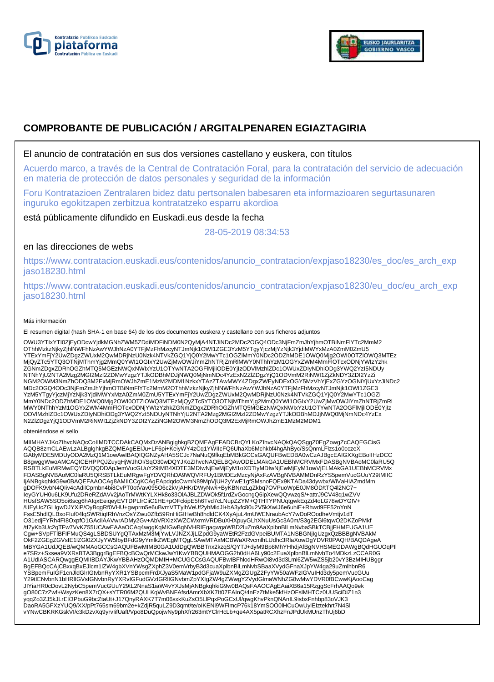



# **COMPROBANTE DE PUBLICACIÓN / ARGITALPENAREN EGIAZTAGIRIA**

## El anuncio de contratación en sus dos versiones castellano y euskera, con títulos

Acuerdo marco, a través de la Central de Contratación Foral, para la contratación del servicio de adecuación en materia de protección de datos personales y seguridad de la información

Foru Kontratazioen Zentralaren bidez datu pertsonalen babesaren eta informazioaren segurtasunaren inguruko egokitzapen zerbitzua kontratatzeko esparru akordioa

está públicamente difundido en Euskadi.eus desde la fecha

28-05-2019 08:34:53

# en las direcciones de webs

https://www.contratacion.euskadi.eus/contenidos/anuncio\_contratacion/expjaso18230/es\_doc/es\_arch\_exp jaso18230.html

https://www.contratacion.euskadi.eus/contenidos/anuncio\_contratacion/expjaso18230/eu\_doc/eu\_arch\_exp jaso18230.html

### Más información

El resumen digital (hash SHA-1 en base 64) de los dos documentos euskera y castellano con sus ficheros adjuntos

OWU3YTIxYTI0ZjEyODcwYjdkMGNhZWM5ZDdiMDFiNDM0N2QyMjA4NTJiNDc2MDc2OGQ4ODc3NjFmZmJhYjhmOTBiNmFlYTc2MmM2 OThhMzkzNjkyZjhlNWFhNzAwYWJhNzA0YTFjMzFhMzcyNTJmNjk1OWI1ZGE3YzM5YTgyYjczMjYzNjk3YjdiMWYxMzA0ZmM0ZmU5 YTExYmFjY2UwZDgzZWUxM2QwMDRjNzU0Nzk4NTVkZGQ1YjQ0Y2MwYTc1OGZiMmY0NDc2ODZhMDE1OWQ0Mjg2OWI0OTZiOWQ3MTEz<br>MjQyZTc5YTQ3OTNjMThmYjg2MmQ0YWI1OGIxY2UwZjMwOWJiYmZhNTRjZmRlMWY0NThhYzM1OGYxZWM4MmFlOTcxODNjYWIzYzhk ZGNmZDgxZDRhOGZhMTQ5MGEzNWQxNWIxYzU1OTYwNTA2OGFlMjliODE0YjIzODVlMzhlZDc1OWUxZDIyNDhiODg3YWQ2YzI5NDUy NTNhYjU2NTA2Mzg2MGI2MzI2ZDMwYzgzYTJkODBhMDJjNWQ0MjNmNDc4YzExN2ZlZDgzYjQ1ODVmM2RiNWI1ZjZkNDY3ZDI2YzZi NGM2OWM3NmZhODQ3M2ExMjRmOWJhZmE1MzM2MDM1NzkxYTAzZTAwMWY4ZDgxZWEyNDExOGY5MzVhYjExZGYzOGNiYjUxYzJiNDc2 MDc2OGQ4ODc3NjFmZmJhYjhmOTBiNmFlYTc2MmM2OThhMzkzNjkyZjhlNWFhNzAwYWJhNzA0YTFjMzFhMzcyNTJmNjk1OWI1ZGE3 YzM5YTgyYjczMjYzNjk3YjdiMWYxMzA0ZmM0ZmU5YTExYmFjY2UwZDgzZWUxM2QwMDRjNzU0Nzk4NTVkZGQ1YjQ0Y2MwYTc1OGZi<br>MmY0NDc2ODZhMDE1OWQ0Mjg2OWI0OTZiOWQ3MTEzMjQyZTc5YTQ3OTNjMThmYjg2MmQ0YWI1OGIxY2UwZjMwOWJiYmZhNTRjZmRI MWY0NThhYzM1OGYxZWM4MmFlOTcxODNjYWIzYzhkZGNmZDgxZDRhOGZhMTQ5MGEzNWQxNWIxYzU1OTYwNTA2OGFlMjliODE0YjIz<br>ODVIMzhIZDc1OWUxZDIyNDhiODg3YWQ2YzI5NDUyNTNhYjU2NTA2Mzg2MGI2MzI2ZDMwYzgzYTJkODBhMDJjNWQ0MjNmNDc4YzEx N2ZlZDgzYjQ1ODVmM2RiNWI1ZjZkNDY3ZDI2YzZiNGM2OWM3NmZhODQ3M2ExMjRmOWJhZmE1MzM2MDM1

#### obteniéndose el sello

MIIMHAYJKoZIhvcNAQcCoIIMDTCCDAkCAQMxDzANBglghkgBZQMEAgEFADCBrQYLKoZIhvcNAQkQAQSggZ0EgZowgZcCAQEGCisG<br>AQQB8zmCLAEwLzALBglghkgBZQMEAgEEIJu+LF6pi+KeiyWY4zCq1YWIIcFQ6UhaXb6Mchkbf4hgAhByc/SsQnmLFlzs1o0cczeX GA8yMDE5MDUyODA2MzQ1M1owAwIBAQIQGNZyAHA5SCJc7NaNuQ9fkqEbMBkGCCsGAQUFBwEDBA0wCzAJBgcEAIGXXgEBoIIHzDCC B8gwggWwoAMCAQICEHPPQJZuyqHjWJhOI/SqO30wDQYJKoZIhvcNAQELBQAwODELMAkGA1UEBhMCRVMxFDASBgNVBAoMC0laRU5Q RSBTLkEuMRMwEQYDVQQDDApJemVucGUuY29tMB4XDTE3MDIwNjEwMjEyM1oXDTIyMDIwNjEwMjEyM1owVjELMAkGA1UEBhMCRVMx FDASBgNVBAoMC0laRU5QRSBTLkEuMRgwFgYDVQRhDA9WQVRFUy1BMDEzMzcyNjAxFzAVBgNVBAMMDnRzYS5pemVucGUuY29tMIIC ljANBgkqhkiG9w0BAQEFAAOCAg8AMIICCgKCAgEApdqdcCwmN89MpVjUH2yYwE1gfSMsnoFQEx9KTADa43dywbx/WiVaHIAZmdMm<br>gDOFK9vbN4Qliv4cAdilCpmbn4bi8CvPT0otVav095O6c2kVjAHKrDWyNw/i+ByKBNnzLgZkbq7OVPuoWpE0JM8OD/tTQ4l2NC7+ leyGYUH0u6LK9Ufu2DReRZdAVv2jAoTrMWtKYLXHk8o33OlAJBLZDWOk5f1rdZvGocngQ6ipXewQQvwzqS/+attrJ9CV48q1wZVV<br>HUsfSAW5SO5oi6scg6hAIqxEeiqeyEVTDPLfrCiiC1HE+pOFckipE5h6Tvd7cLNupZZYM+QTHTYPNUqtgwkEqZd4oLG78wDYGIV+ /UEyUcZGLIgwDJYXiP/OyBqgRf0VHU+gwprm5e6uBvmVTTylhVeUf2yhMldJl+bA3yfc80u2V5kXwIJ6e6uhiE+Rhwd9FF52nYnN FssE5hdlQLBxoFIuf04lqSWRtiqIRhVnzOsYZwu0Zfb59RnHiGIHwBh8hdldCK4XyAjuL4mUWENraubAcY7wDoROodheVmtjv1dT O31edjFYRh4FI8OxpfO1GAcilAAVwrADMy2Gv+AbVRXizXWZCWxrmVRDBuXHXpuyGLhXNuUsGc3A0m/S3g2EGl6tqwO2DKZoPMkf /tI7yKb3Uc2qTFw7VvKZ55UCAwEAAaOCAq4wggKqMIGwBgNVHRIEgagwgaWBD2luZm9AaXplbnBlLmNvbaSBkTCBjjFHMEUGA1UE Cgw+SVpFTlBFIFMuQS4gLSBDSUYgQTAxMzM3MjYwLVJNZXJjLlZpdG9yaWEtR2FzdGVpeiBUMTA1NSBGNjIgUzgxQzBBBgNVBAkM OkF2ZGEgZGVsIE1IZGI0ZXJyYW5lbyBFdG9yYmlkZWEgMTQgLSAwMTAxMCBWaXRvcmlhLUdhc3RlaXowDgYDVR0PAQH/BAQDAgeA<br>MBYGA1UdJQEB/wQMMAoGCCsGAQUFBwMIMB0GA1UdDgQWBBTnx2kzqS/QYTJ+dyM9Bp8MhYHhdjAfBgNVHSMEGDAWgBQdHGUOqPII<br>e7SRz+Sxsea9VXRsBTA3 A1UdIASCARQwggEQMIIBDAYJKwYBBAHzOQMDMIH+MCUGCCsGAQUFBwIBFhlodHRwOi8vd3d3Lml6ZW5wZS5jb20vY3BzMIHUBggr BgEFBQcCAjCBxxqBxEJlcm1lZW4gbXVnYWsgZXphZ3V0emVrbyB3d3cuaXplbnBlLmNvbSBaaXVydGFnaXJpYW4ga29uZmlhbnR6 YSBpemFuIGF1cnJldGlrIGtvbnRyYXR1YSBpcmFrdXJyaS5MaW1pdGFjaW9uZXMgZGUgZ2FyYW50aWFzIGVuIHd3dy5pemVucGUu Y29tIENvbnN1bHRlIGVsIGNvbnRyYXRvIGFudGVzIGRlIGNvbmZpYXIgZW4gZWwgY2VydGlmaWNhZG8wMwYDVR0fBCwwKjAooCag JIYiaHR0cDovL2NybC5pemVucGUuY29tL2NnaS1iaW4vYXJsMjANBgkqhkiG9w0BAQsFAAOCAgEAaiXB6a15RzggScFrhAAQo9ek gO80C7zZwf+WsyzKen8X7rQX+sYTR06M2QULKqWvBNFAfsdAmrXbXK7It07EAInQ/4nEzZtMke5kfHzOFslMHTCz0UUSciDiZ1n3 yqqZo3ZJ5kJLrEl/3PbuG9bcZtaUt+J17QnyRAXK7T7m06sxkKuZsO5LlPqxPoGCxUl/qwgKhvPknQNAnIL9isbxFnhbp83oVJK3<br>DaoRA5GFXzYUQ9/XX/pPt765sm69bm2e+kZdjR5quLZ9D3qmt/te/oIKENi9WFlmcP76k18YmSOO0lHCuOwUylEIztekhrt7N4Sl vYNwCBKRKGskVI/c3kDzvXq9yrvIifUaft/Vpo8DuQpojwNy9phXfr263mtYClrHcLb+qe4AX5patRCXhzFnJPdUkMUnzThUj6bD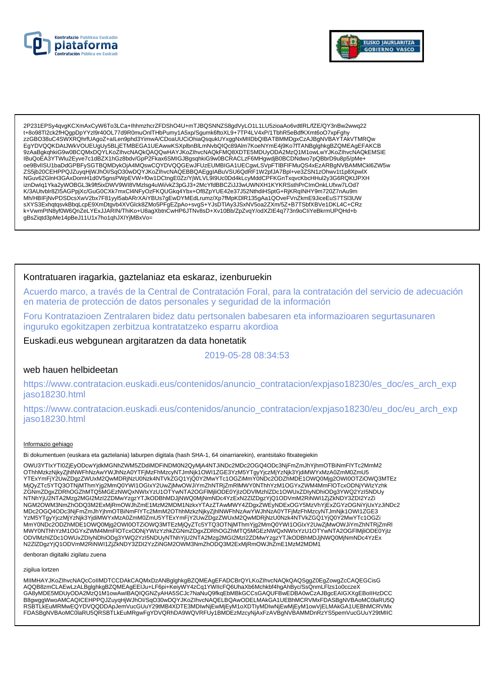



2P231EPSy4qvgKCXmAxCyW6To3LCa+lhhmzhcrZFDShO4U+mTJBQSNNZS8gdVyLO1L1LU5zioaAo6vdtlRL/fZE/QY3nBw2wwq22 t+8o98Tl2ck2fHQqpDpYYzl9r40OL77d9R0muOnITHbPumy1A5xp/Squmk6ftoXL9+7TP4LV4xP/1TbhR5eBdfKXmt6oO7xpFqhy 9ZAaBgkqhkiG9w0BCQMxDQYLKoZlhvcNAQkQAQQwHAYJKoZlhvcNAQkFMQ8XDTE5MDUyODA2MzQ1M1owLwYJKoZlhvcNAQkEMSIE IBuQoEA3YTWlu2Eyve7c1dBZX1hGz8bdv/GpP2Fkax6SMIGJBgsqhkiG9w0BCRACLzF6MHgwdjB0BCDNdwo7pQBbrD9u8p5/pMe+ oe9BvllSU1baDdGPBFySGTBQMDykOjA4MQswCQYDVQQGEwJFUzEUMBIGA1UECgwLSVpFTIBFIFMuQS4xEzARBgNVBAMMCkl6ZW5w<br>ZS5jb20CEHPPQJZuyqHjWJhOl/SqO30wDQYJKoZIhvcNAQEBBQAEggIABuVSU6QdRF1W2pfJA7Bpl+ve3ZSN1zOhwv1t1p8XpwlX Expression-HadvagnsPWpEVW+f0w1DChgE0Zz/YjWLVL9l9Uc0Dd4kLcyMddCPFKGnTxqvcKbcHHul2y3G6RQKtJPXH<br>iznDwlq1Yka2yWOBGL3k9ft5ixDWV9Wl8VMzlsg4uWi/vkZ3pGJ3+2McYfdBBCZiJJ3wUWNXH1KYKRSsthPrClmOnkLUfxw7LOd7 K/3AUtvblr8ZI5AGPpjXc/GuG0CXk7mxCl4NFyOzFKQUGkq4Ybx+Of8ZpYUE42e37J52NthdiHSptG+RjKRqINHY9m720Z7nAu9m Mh/HBIFjNvPDSDcsXwV2bx7F81yyl5abARrXAiYBUs7gEwDYMEdLrumz/Xp7fMpKDlR135gAa1QOveFVnZkmE9JiceEuS7TSl3UW sXYS3ExhqtqsvkBbqLcpE9XmDtgvb4XVGlck8ZMo5PFgEZpAo+svgS+YJsDTIAy3JSxNV5oa2ZXm/5Z+B7TSbfXBVe1DKL4C+CRz k+VwmPtN8yf0W6QnZeLYExJJARIN/ThiKo+U8agXbtnCwHP6JTNv8sD+Xv10Bb/ZpZvqY/odXZIE4q773n9oCliYeBkrmUPQHd+b gBsZiqtd3pMe14pBeJ11U1x7ho1qhJXIYjMBxVo=

### Kontratuaren iragarkia, gaztelaniaz eta eskaraz, izenburuekin

Acuerdo marco, a través de la Central de Contratación Foral, para la contratación del servicio de adecuación en materia de protección de datos personales y seguridad de la información

Foru Kontratazioen Zentralaren bidez datu pertsonalen babesaren eta informazioaren segurtasunaren inguruko egokitzapen zerbitzua kontratatzeko esparru akordioa

Euskadi.eus webgunean argitaratzen da data honetatik

2019-05-28 08:34:53

### web hauen helbideetan

https://www.contratacion.euskadi.eus/contenidos/anuncio\_contratacion/expjaso18230/es\_doc/es\_arch\_exp jaso18230.html

https://www.contratacion.euskadi.eus/contenidos/anuncio contratacion/expjaso18230/eu doc/eu arch exp jaso18230.html

### Informazio gehiago

Bi dokumentuen (euskara eta gaztelania) laburpen digitala (hash SHA-1, 64 oinarriarekin), erantsitako fitxategiekin

OWU3YTIxYTI0ZjEyODcwYjdkMGNhZWM5ZDdiMDFiNDM0N2QyMjA4NTJiNDc2MDc2OGQ4ODc3NjFmZmJhYjhmOTBiNmFlYTc2MmM2 OThhMzkzNjkyZjhINWFhNzAwYWJhNzA0YTFjMzFhMzcyNTJmNjk1OWI1ZGE3YzM5YTgyYjczMjYzNjk3YjdiMWYxMzA0ZmM0ZmU5 YTExYmFjY2UwZDgzZWUxM2QwMDRjNzU0Nzk4NTVkZGQ1YjQ0Y2MwYTc1OGZiMmY0NDc2ODZnMDE1OWQ0Mjg2OWI0OTZiOWQ3MTEz NGM2OWM3NmZhODQ3M2ExMjRmOWJhZmE1MzM2MDM1NzkxYTAzZTAwMWY4ZDgxZWEyNDExOGY5MzVhYjExZGYzOGNiYjUxYzJiNDc2 MDc2OGQ4ODc3NjFmZmJhYjhmOTBiNmFlYTc2MmM2OThhMzkzNjkyZjhlNWFhNzAwYWJhNzA0YTFjMzFhMzcyNTJmNjk1OWI1ZGE3 www.winim.com/inimes/winimes/winimes/winimes/winimes/winimes/winimes/winimes/winimes/winimes/winimes/winimes/w<br>MmY0NDc2ODZhMDE1OWQ0Mjg2OWI0OTZiOWQ3MTEzMjQyZTc5YTQ3OTNjMThmYjg2MmQ0YWI1OGlxY2UwZjMwOWJiYmZhNTRjZmRI MWY0NThhYzM1OGYxZWM4MmFIOTcxODNjYWIzYzhkZGNmZDgxZDRhOGZhMTQ5MGEzNWQxNWIxYzU1OTYwNTA2OGFlMjliODE0YjIz<br>ODVlMzhlZDc1OWUxZDIyNDhiODg3YWQ2YzI5NDUyNTNhYjU2NTA2Mzg2MGI2MzI2ZDMwYzgzYTJkODBhMDJjNWQ0MjNmNDc4YzEx N2ZIZDgzYjQ1ODVmM2RiNWI1ZjZkNDY3ZDI2YzZiNGM2OWM3NmZhODQ3M2ExMjRmOWJhZmE1MzM2MDM1

denboran digitalki zigilatu zuena

#### zigilua lortzen

MIIMHAYJKoZIhvcNAQcCoIIMDTCCDAkCAQMxDzANBglghkgBZQMEAgEFADCBrQYLKoZIhvcNAQkQAQSgqZ0EgZowqZcCAQEGCisG AQQB8zmCLAEwLzALBglghkgBZQMEAgEEIJu+LF6pi+KeiyWY4zCq1YWIIcFQ6UhaXb6Mchkbf4hgAhByc/SsQnmLFlzs1o0cczeX GA8yMDE5MDUyODA2MzQ1M1owAwIBAQIQGNZyAHA5SCJc7NaNuQ9fkqEbMBkGCCsGAQUFBwEDBA0wCzAJBgcEAIGXXgEBoIIHzDCC B8gwggWwoAMCAQICEHPPQJZuyqHjWJhOI/SqO30wDQYJKoZIhvcNAQELBQAwODELMAkGA1UEBhMCRVMxFDASBgNVBAoMC0laRU5Q RSBTLKEuMRMwEQYDVQQDDApJemVucGUuY29tMB4XDTE3MDIwNjEwMjEyM1oXDTIyMDIwNjEwMjEyM1owVjELMAkGA1UEBhMCRVMx FDASBgNVBAoMC0laRU5QRSBTLkEuMRgwFgYDVQRhDA9WQVRFUy1BMDEzMzcyNjAxFzAVBgNVBAMMDnRzYS5pemVucGUuY29tMIIC